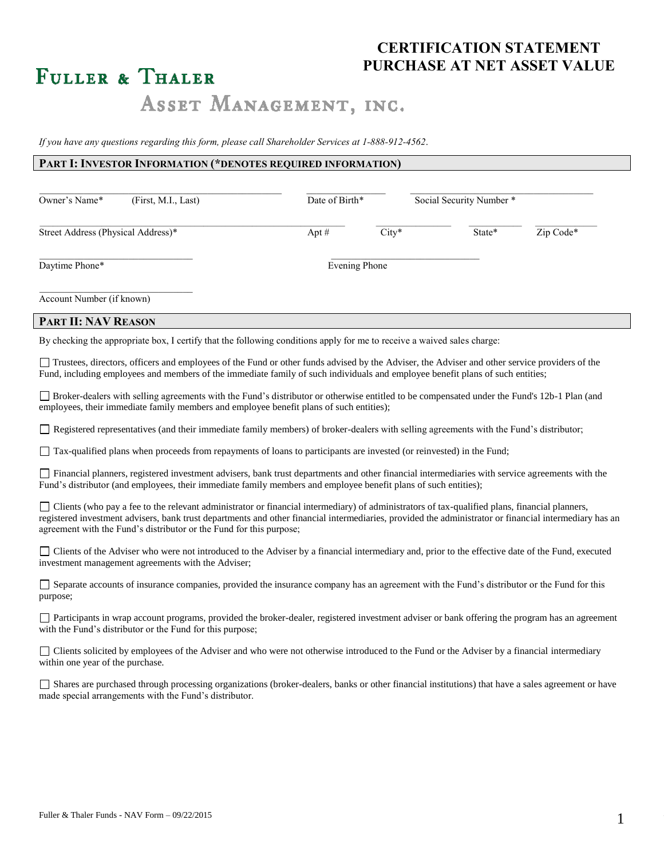### **CERTIFICATION STATEMENT PURCHASE AT NET ASSET VALUE**

# FULLER & THALER

## ASSET MANAGEMENT, INC.

*If you have any questions regarding this form, please call Shareholder Services at 1-888-912-4562*.

#### **PART I: INVESTOR INFORMATION (\*DENOTES REQUIRED INFORMATION)**

| Owner's Name*                      | (First, M.I., Last) | Date of Birth* |         | Social Security Number * |           |
|------------------------------------|---------------------|----------------|---------|--------------------------|-----------|
| Street Address (Physical Address)* |                     | Apt $#$        | $City*$ | State*                   | Zip Code* |
| Daytime Phone*                     |                     | Evening Phone  |         |                          |           |
| Account Number (if known)          |                     |                |         |                          |           |

#### **PART II: NAV REASON**

By checking the appropriate box, I certify that the following conditions apply for me to receive a waived sales charge:

Trustees, directors, officers and employees of the Fund or other funds advised by the Adviser, the Adviser and other service providers of the Fund, including employees and members of the immediate family of such individuals and employee benefit plans of such entities;

Broker-dealers with selling agreements with the Fund's distributor or otherwise entitled to be compensated under the Fund's 12b-1 Plan (and employees, their immediate family members and employee benefit plans of such entities);

Registered representatives (and their immediate family members) of broker-dealers with selling agreements with the Fund's distributor;

Tax-qualified plans when proceeds from repayments of loans to participants are invested (or reinvested) in the Fund;

Financial planners, registered investment advisers, bank trust departments and other financial intermediaries with service agreements with the Fund's distributor (and employees, their immediate family members and employee benefit plans of such entities);

 $\Box$  Clients (who pay a fee to the relevant administrator or financial intermediary) of administrators of tax-qualified plans, financial planners, registered investment advisers, bank trust departments and other financial intermediaries, provided the administrator or financial intermediary has an agreement with the Fund's distributor or the Fund for this purpose;

| Clients of the Adviser who were not introduced to the Adviser by a financial intermediary and, prior to the effective date of the Fund, executed |  |
|--------------------------------------------------------------------------------------------------------------------------------------------------|--|
| investment management agreements with the Adviser;                                                                                               |  |

| Separate accounts of insurance companies, provided the insurance company has an agreement with the Fund's distributor or the Fund for this |  |  |  |
|--------------------------------------------------------------------------------------------------------------------------------------------|--|--|--|
| purpose;                                                                                                                                   |  |  |  |

Participants in wrap account programs, provided the broker-dealer, registered investment adviser or bank offering the program has an agreement with the Fund's distributor or the Fund for this purpose;

Clients solicited by employees of the Adviser and who were not otherwise introduced to the Fund or the Adviser by a financial intermediary within one year of the purchase.

Shares are purchased through processing organizations (broker-dealers, banks or other financial institutions) that have a sales agreement or have made special arrangements with the Fund's distributor.